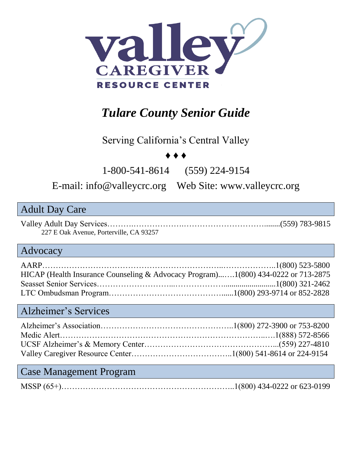

# *Tulare County Senior Guide*

#### Serving California's Central Valley

#### ♦ ♦ ♦

1-800-541-8614 (559) 224-9154

E-mail: [info@valleycrc.org](mailto:info@valleycrc.org) Web Site: www.valleycrc.org

#### Adult Day Care

Valley Adult Day Services……….……………….…………………………........(559) 783-9815 227 E Oak Avenue, Porterville, CA 93257

#### Advocacy

| HICAP (Health Insurance Counseling & Advocacy Program)1(800) 434-0222 or 713-2875 |  |
|-----------------------------------------------------------------------------------|--|
|                                                                                   |  |
|                                                                                   |  |

#### Alzheimer's Services

#### Case Management Program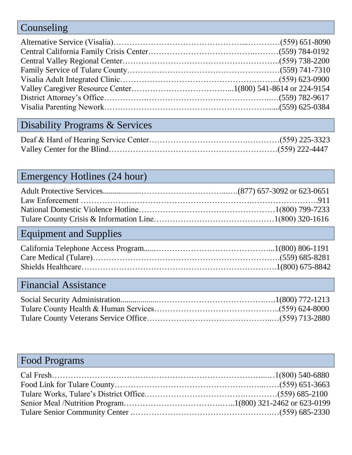### Counseling

# Disability Programs & Services

### Emergency Hotlines (24 hour)

# Equipment and Supplies

### Financial Assistance

### Food Programs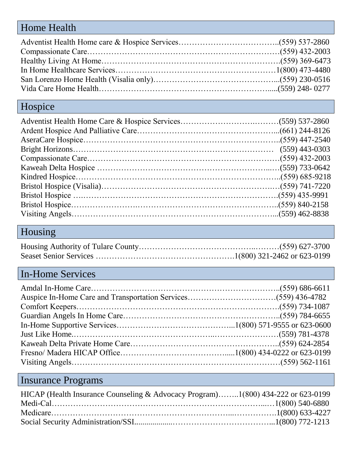## Home Health

## Hospice

## Housing

# In-Home Services

# Insurance Programs

| HICAP (Health Insurance Counseling & Advocacy Program)1(800) 434-222 or 623-0199 |  |
|----------------------------------------------------------------------------------|--|
|                                                                                  |  |
|                                                                                  |  |
|                                                                                  |  |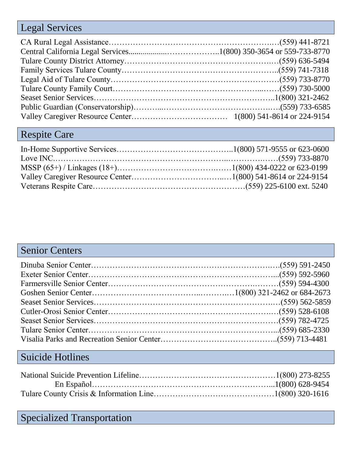## Legal Services

## Respite Care

### Senior Centers

## Suicide Hotlines

## Specialized Transportation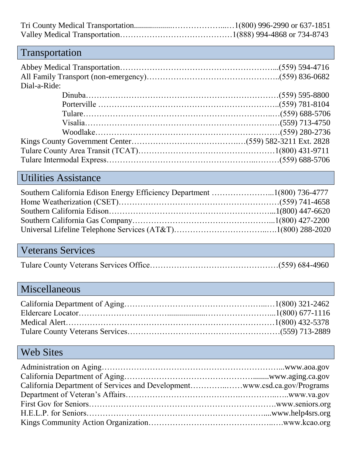## Transportation

| Dial-a-Ride: |  |
|--------------|--|
|              |  |
|              |  |
|              |  |
|              |  |
|              |  |
|              |  |
|              |  |
|              |  |

### Utilities Assistance

## Veterans Services

|--|--|--|

# Miscellaneous

#### Web Sites